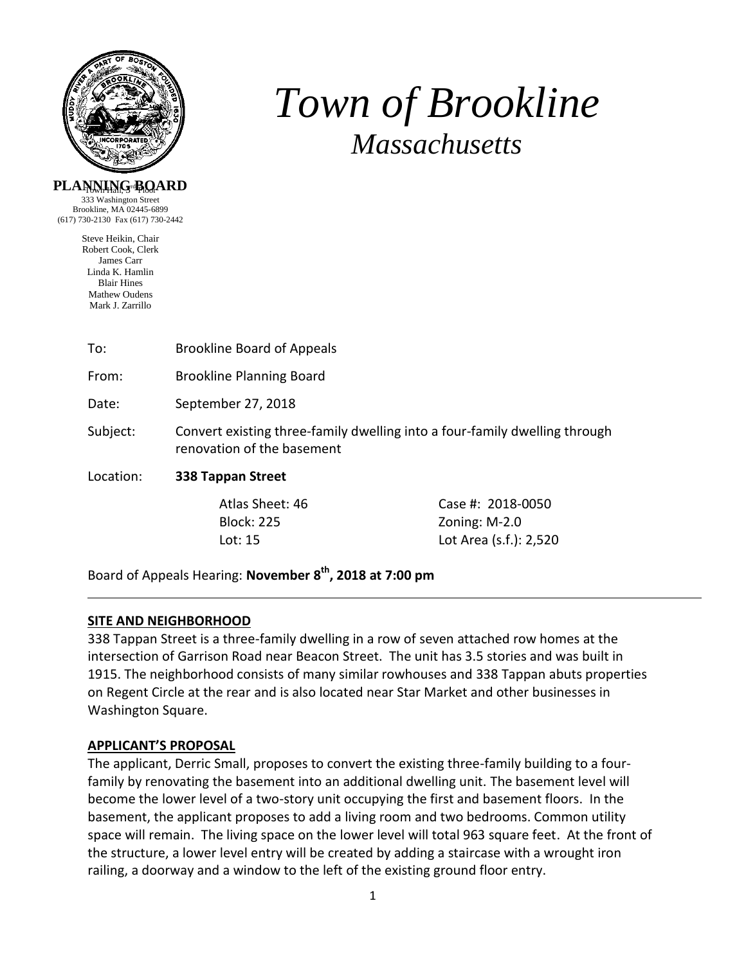

# *Town of Brookline Massachusetts*

## **PLANNING BQARD**

333 Washington Street Brookline, MA 02445-6899 (617) 730-2130 Fax (617) 730-2442

> Steve Heikin, Chair Robert Cook, Clerk James Carr Linda K. Hamlin Blair Hines Mathew Oudens Mark J. Zarrillo

| <b>Brookline Board of Appeals</b>                                                                        |                                      |  |
|----------------------------------------------------------------------------------------------------------|--------------------------------------|--|
| <b>Brookline Planning Board</b>                                                                          |                                      |  |
| September 27, 2018                                                                                       |                                      |  |
| Convert existing three-family dwelling into a four-family dwelling through<br>renovation of the basement |                                      |  |
| 338 Tappan Street                                                                                        |                                      |  |
| Atlas Sheet: 46                                                                                          | Case #: 2018-0050<br>Zoning: $M-2.0$ |  |
|                                                                                                          | <b>Block: 225</b>                    |  |

Board of Appeals Hearing: **November 8th, 2018 at 7:00 pm**

# **SITE AND NEIGHBORHOOD**

338 Tappan Street is a three-family dwelling in a row of seven attached row homes at the intersection of Garrison Road near Beacon Street. The unit has 3.5 stories and was built in 1915. The neighborhood consists of many similar rowhouses and 338 Tappan abuts properties on Regent Circle at the rear and is also located near Star Market and other businesses in Washington Square.

Lot: 15 Lot Area (s.f.): 2,520

# **APPLICANT'S PROPOSAL**

The applicant, Derric Small, proposes to convert the existing three-family building to a fourfamily by renovating the basement into an additional dwelling unit. The basement level will become the lower level of a two-story unit occupying the first and basement floors. In the basement, the applicant proposes to add a living room and two bedrooms. Common utility space will remain. The living space on the lower level will total 963 square feet. At the front of the structure, a lower level entry will be created by adding a staircase with a wrought iron railing, a doorway and a window to the left of the existing ground floor entry.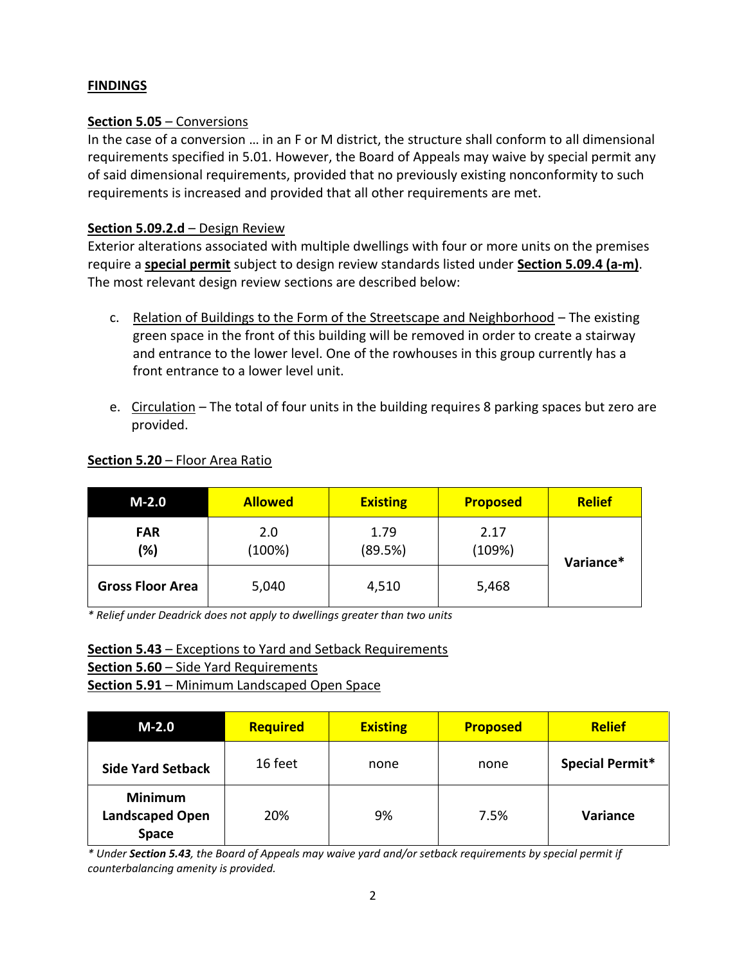# **FINDINGS**

## **Section 5.05** – Conversions

In the case of a conversion … in an F or M district, the structure shall conform to all dimensional requirements specified in 5.01. However, the Board of Appeals may waive by special permit any of said dimensional requirements, provided that no previously existing nonconformity to such requirements is increased and provided that all other requirements are met.

## **Section 5.09.2.d** – Design Review

Exterior alterations associated with multiple dwellings with four or more units on the premises require a **special permit** subject to design review standards listed under **Section 5.09.4 (a-m)**. The most relevant design review sections are described below:

- c. Relation of Buildings to the Form of the Streetscape and Neighborhood The existing green space in the front of this building will be removed in order to create a stairway and entrance to the lower level. One of the rowhouses in this group currently has a front entrance to a lower level unit.
- e. Circulation The total of four units in the building requires 8 parking spaces but zero are provided.

| $M-2.0$                 | <b>Allowed</b> | <b>Existing</b> | <b>Proposed</b> | <b>Relief</b> |
|-------------------------|----------------|-----------------|-----------------|---------------|
| <b>FAR</b><br>(%)       | 2.0<br>(100%)  | 1.79<br>(89.5%) | 2.17<br>(109%)  | Variance*     |
| <b>Gross Floor Area</b> | 5,040          | 4,510           | 5,468           |               |

#### **Section 5.20** – Floor Area Ratio

*\* Relief under Deadrick does not apply to dwellings greater than two units*

#### **Section 5.43** – Exceptions to Yard and Setback Requirements

**Section 5.60** – Side Yard Requirements

**Section 5.91** – Minimum Landscaped Open Space

| $M-2.0$                                           | <b>Required</b> | <b>Existing</b> | <b>Proposed</b> | <b>Relief</b>   |
|---------------------------------------------------|-----------------|-----------------|-----------------|-----------------|
| <b>Side Yard Setback</b>                          | 16 feet         | none            | none            | Special Permit* |
| <b>Minimum</b><br><b>Landscaped Open</b><br>Space | 20%             | 9%              | 7.5%            | Variance        |

*\* Under Section 5.43, the Board of Appeals may waive yard and/or setback requirements by special permit if counterbalancing amenity is provided.*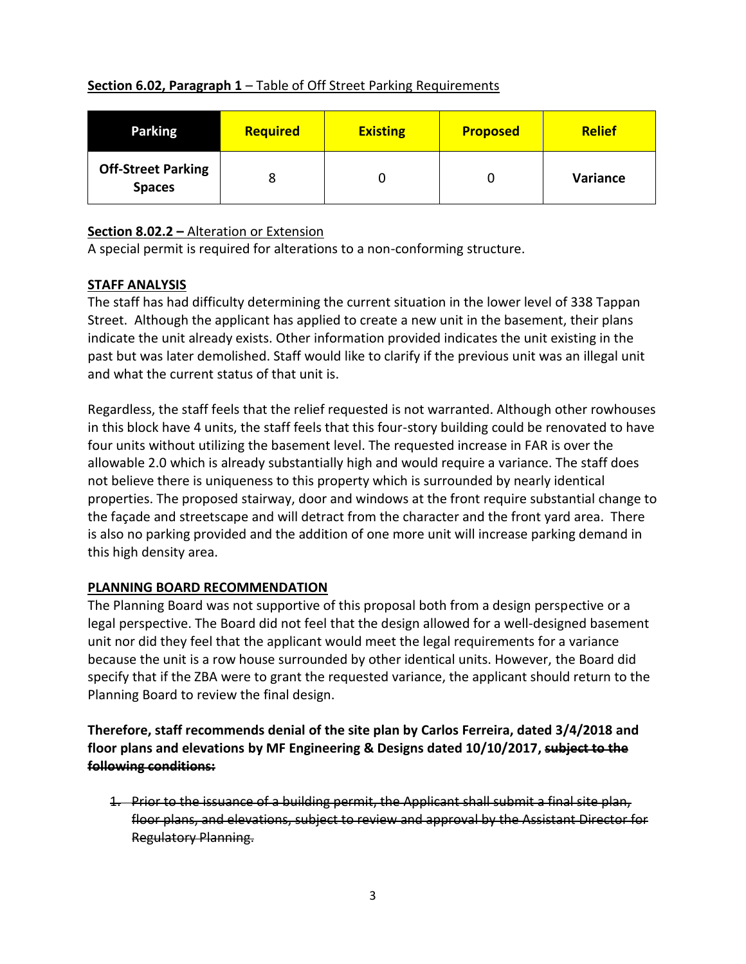## **Section 6.02, Paragraph 1 – Table of Off Street Parking Requirements**

| <b>Parking</b>                             | <b>Required</b> | <b>Existing</b> | <b>Proposed</b> | <b>Relief</b> |
|--------------------------------------------|-----------------|-----------------|-----------------|---------------|
| <b>Off-Street Parking</b><br><b>Spaces</b> |                 |                 |                 | Variance      |

# **Section 8.02.2 –** Alteration or Extension

A special permit is required for alterations to a non-conforming structure.

## **STAFF ANALYSIS**

The staff has had difficulty determining the current situation in the lower level of 338 Tappan Street. Although the applicant has applied to create a new unit in the basement, their plans indicate the unit already exists. Other information provided indicates the unit existing in the past but was later demolished. Staff would like to clarify if the previous unit was an illegal unit and what the current status of that unit is.

Regardless, the staff feels that the relief requested is not warranted. Although other rowhouses in this block have 4 units, the staff feels that this four-story building could be renovated to have four units without utilizing the basement level. The requested increase in FAR is over the allowable 2.0 which is already substantially high and would require a variance. The staff does not believe there is uniqueness to this property which is surrounded by nearly identical properties. The proposed stairway, door and windows at the front require substantial change to the façade and streetscape and will detract from the character and the front yard area. There is also no parking provided and the addition of one more unit will increase parking demand in this high density area.

# **PLANNING BOARD RECOMMENDATION**

The Planning Board was not supportive of this proposal both from a design perspective or a legal perspective. The Board did not feel that the design allowed for a well-designed basement unit nor did they feel that the applicant would meet the legal requirements for a variance because the unit is a row house surrounded by other identical units. However, the Board did specify that if the ZBA were to grant the requested variance, the applicant should return to the Planning Board to review the final design.

**Therefore, staff recommends denial of the site plan by Carlos Ferreira, dated 3/4/2018 and floor plans and elevations by MF Engineering & Designs dated 10/10/2017, subject to the following conditions:**

1. Prior to the issuance of a building permit, the Applicant shall submit a final site plan, floor plans, and elevations, subject to review and approval by the Assistant Director for Regulatory Planning.